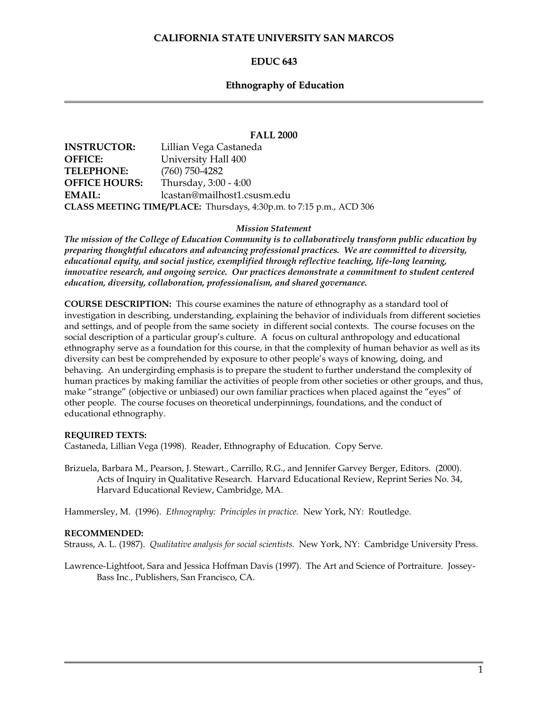# **CALIFORNIA STATE UNIVERSITY SAN MARCOS**

# **EDUC 643**

# **Ethnography of Education**

#### **FALL 2000**

| <b>INSTRUCTOR:</b>                                                  | Lillian Vega Castaneda      |  |
|---------------------------------------------------------------------|-----------------------------|--|
| <b>OFFICE:</b>                                                      | University Hall 400         |  |
| <b>TELEPHONE:</b>                                                   | $(760)$ 750-4282            |  |
| <b>OFFICE HOURS:</b>                                                | Thursday, 3:00 - 4:00       |  |
| EMAIL:                                                              | lcastan@mailhost1.csusm.edu |  |
| CLASS MEETING TIME/PLACE: Thursdays, 4:30p.m. to 7:15 p.m., ACD 306 |                             |  |

*Mission Statement*

*The mission of the College of Education Community is to collaboratively transform public education by preparing thoughtful educators and advancing professional practices. We are committed to diversity, educational equity, and social justice, exemplified through reflective teaching, life-long learning, innovative research, and ongoing service. Our practices demonstrate a commitment to student centered education, diversity, collaboration, professionalism, and shared governance.*

**COURSE DESCRIPTION:** This course examines the nature of ethnography as a standard tool of investigation in describing, understanding, explaining the behavior of individuals from different societies and settings, and of people from the same society in different social contexts. The course focuses on the social description of a particular group's culture. A focus on cultural anthropology and educational ethnography serve as a foundation for this course, in that the complexity of human behavior as well as its diversity can best be comprehended by exposure to other people's ways of knowing, doing, and behaving. An undergirding emphasis is to prepare the student to further understand the complexity of human practices by making familiar the activities of people from other societies or other groups, and thus, make "strange" (objective or unbiased) our own familiar practices when placed against the "eyes" of other people. The course focuses on theoretical underpinnings, foundations, and the conduct of educational ethnography.

#### **REQUIRED TEXTS:**

Castaneda, Lillian Vega (1998). Reader, Ethnography of Education. Copy Serve.

Brizuela, Barbara M., Pearson, J. Stewart., Carrillo, R.G., and Jennifer Garvey Berger, Editors. (2000). Acts of Inquiry in Qualitative Research. Harvard Educational Review, Reprint Series No. 34, Harvard Educational Review, Cambridge, MA.

Hammersley, M. (1996). *Ethnography: Principles in practice.* New York, NY: Routledge.

#### **RECOMMENDED:**

Strauss, A. L. (1987). *Qualitative analysis for social scientists.* New York, NY: Cambridge University Press.

Lawrence-Lightfoot, Sara and Jessica Hoffman Davis (1997). The Art and Science of Portraiture. Jossey-Bass Inc., Publishers, San Francisco, CA.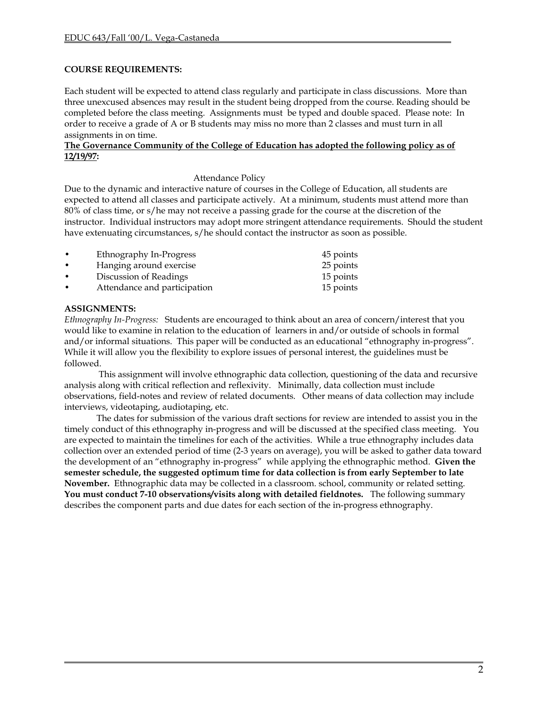# **COURSE REQUIREMENTS:**

Each student will be expected to attend class regularly and participate in class discussions. More than three unexcused absences may result in the student being dropped from the course. Reading should be completed before the class meeting. Assignments must be typed and double spaced. Please note: In order to receive a grade of A or B students may miss no more than 2 classes and must turn in all assignments in on time.

#### **The Governance Community of the College of Education has adopted the following policy as of 12/19/97:**

#### Attendance Policy

Due to the dynamic and interactive nature of courses in the College of Education, all students are expected to attend all classes and participate actively. At a minimum, students must attend more than 80% of class time, or s/he may not receive a passing grade for the course at the discretion of the instructor. Individual instructors may adopt more stringent attendance requirements. Should the student have extenuating circumstances, s/he should contact the instructor as soon as possible.

| ٠         | Ethnography In-Progress      | 45 points |
|-----------|------------------------------|-----------|
| ٠         | Hanging around exercise      | 25 points |
| $\bullet$ | Discussion of Readings       | 15 points |
| ٠         | Attendance and participation | 15 points |
|           |                              |           |

## **ASSIGNMENTS:**

*Ethnography In-Progress:* Students are encouraged to think about an area of concern/interest that you would like to examine in relation to the education of learners in and/or outside of schools in formal and/or informal situations. This paper will be conducted as an educational "ethnography in-progress". While it will allow you the flexibility to explore issues of personal interest, the guidelines must be followed.

This assignment will involve ethnographic data collection, questioning of the data and recursive analysis along with critical reflection and reflexivity. Minimally, data collection must include observations, field-notes and review of related documents. Other means of data collection may include interviews, videotaping, audiotaping, etc.

The dates for submission of the various draft sections for review are intended to assist you in the timely conduct of this ethnography in-progress and will be discussed at the specified class meeting. You are expected to maintain the timelines for each of the activities. While a true ethnography includes data collection over an extended period of time (2-3 years on average), you will be asked to gather data toward the development of an "ethnography in-progress" while applying the ethnographic method. **Given the semester schedule, the suggested optimum time for data collection is from early September to late November.** Ethnographic data may be collected in a classroom. school, community or related setting. **You must conduct 7-10 observations/visits along with detailed fieldnotes.** The following summary describes the component parts and due dates for each section of the in-progress ethnography.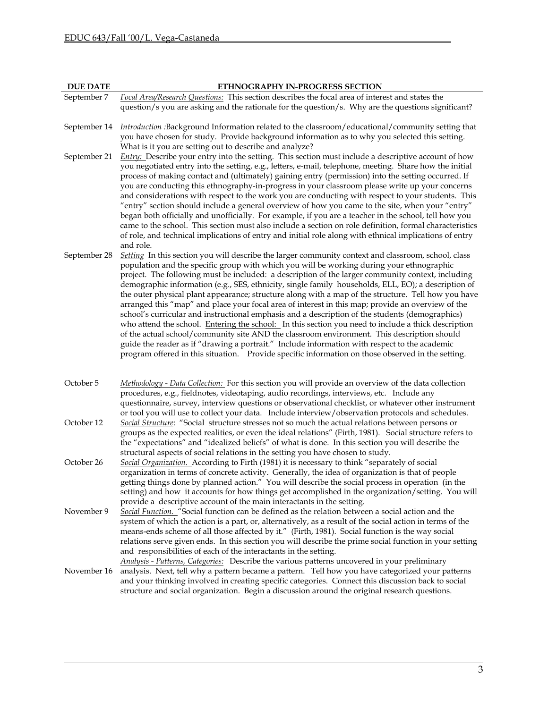| <b>DUE DATE</b> | ETHNOGRAPHY IN-PROGRESS SECTION                                                                                                                                                                                                                                                                                                                                                                                                                                                                                                                                                                                                                                                                                                                                                                                                                                                                                                                                                                                                                                                                                                        |
|-----------------|----------------------------------------------------------------------------------------------------------------------------------------------------------------------------------------------------------------------------------------------------------------------------------------------------------------------------------------------------------------------------------------------------------------------------------------------------------------------------------------------------------------------------------------------------------------------------------------------------------------------------------------------------------------------------------------------------------------------------------------------------------------------------------------------------------------------------------------------------------------------------------------------------------------------------------------------------------------------------------------------------------------------------------------------------------------------------------------------------------------------------------------|
| September 7     | Focal Area/Research Questions: This section describes the focal area of interest and states the                                                                                                                                                                                                                                                                                                                                                                                                                                                                                                                                                                                                                                                                                                                                                                                                                                                                                                                                                                                                                                        |
|                 | question/s you are asking and the rationale for the question/s. Why are the questions significant?                                                                                                                                                                                                                                                                                                                                                                                                                                                                                                                                                                                                                                                                                                                                                                                                                                                                                                                                                                                                                                     |
| September 14    | Introduction :Background Information related to the classroom/educational/community setting that<br>you have chosen for study. Provide background information as to why you selected this setting.<br>What is it you are setting out to describe and analyze?                                                                                                                                                                                                                                                                                                                                                                                                                                                                                                                                                                                                                                                                                                                                                                                                                                                                          |
| September 21    | Entry: Describe your entry into the setting. This section must include a descriptive account of how<br>you negotiated entry into the setting, e.g., letters, e-mail, telephone, meeting. Share how the initial<br>process of making contact and (ultimately) gaining entry (permission) into the setting occurred. If<br>you are conducting this ethnography-in-progress in your classroom please write up your concerns<br>and considerations with respect to the work you are conducting with respect to your students. This<br>"entry" section should include a general overview of how you came to the site, when your "entry"<br>began both officially and unofficially. For example, if you are a teacher in the school, tell how you<br>came to the school. This section must also include a section on role definition, formal characteristics<br>of role, and technical implications of entry and initial role along with ethnical implications of entry<br>and role.                                                                                                                                                         |
| September 28    | Setting In this section you will describe the larger community context and classroom, school, class<br>population and the specific group with which you will be working during your ethnographic<br>project. The following must be included: a description of the larger community context, including<br>demographic information (e.g., SES, ethnicity, single family households, ELL, EO); a description of<br>the outer physical plant appearance; structure along with a map of the structure. Tell how you have<br>arranged this "map" and place your focal area of interest in this map; provide an overview of the<br>school's curricular and instructional emphasis and a description of the students (demographics)<br>who attend the school. Entering the school: In this section you need to include a thick description<br>of the actual school/community site AND the classroom environment. This description should<br>guide the reader as if "drawing a portrait." Include information with respect to the academic<br>program offered in this situation. Provide specific information on those observed in the setting. |
| October 5       | Methodology - Data Collection: For this section you will provide an overview of the data collection<br>procedures, e.g., fieldnotes, videotaping, audio recordings, interviews, etc. Include any<br>questionnaire, survey, interview questions or observational checklist, or whatever other instrument<br>or tool you will use to collect your data. Include interview/observation protocols and schedules.                                                                                                                                                                                                                                                                                                                                                                                                                                                                                                                                                                                                                                                                                                                           |
| October 12      | Social Structure: "Social structure stresses not so much the actual relations between persons or<br>groups as the expected realities, or even the ideal relations" (Firth, 1981). Social structure refers to<br>the "expectations" and "idealized beliefs" of what is done. In this section you will describe the<br>structural aspects of social relations in the setting you have chosen to study.                                                                                                                                                                                                                                                                                                                                                                                                                                                                                                                                                                                                                                                                                                                                   |
| October 26      | Social Organization. According to Firth (1981) it is necessary to think "separately of social<br>organization in terms of concrete activity. Generally, the idea of organization is that of people<br>getting things done by planned action." You will describe the social process in operation (in the<br>setting) and how it accounts for how things get accomplished in the organization/setting. You will                                                                                                                                                                                                                                                                                                                                                                                                                                                                                                                                                                                                                                                                                                                          |
| November 9      | provide a descriptive account of the main interactants in the setting.<br>Social Function. "Social function can be defined as the relation between a social action and the<br>system of which the action is a part, or, alternatively, as a result of the social action in terms of the<br>means-ends scheme of all those affected by it." (Firth, 1981). Social function is the way social<br>relations serve given ends. In this section you will describe the prime social function in your setting<br>and responsibilities of each of the interactants in the setting.                                                                                                                                                                                                                                                                                                                                                                                                                                                                                                                                                             |
| November 16     | Analysis - Patterns, Categories: Describe the various patterns uncovered in your preliminary<br>analysis. Next, tell why a pattern became a pattern. Tell how you have categorized your patterns<br>and your thinking involved in creating specific categories. Connect this discussion back to social<br>structure and social organization. Begin a discussion around the original research questions.                                                                                                                                                                                                                                                                                                                                                                                                                                                                                                                                                                                                                                                                                                                                |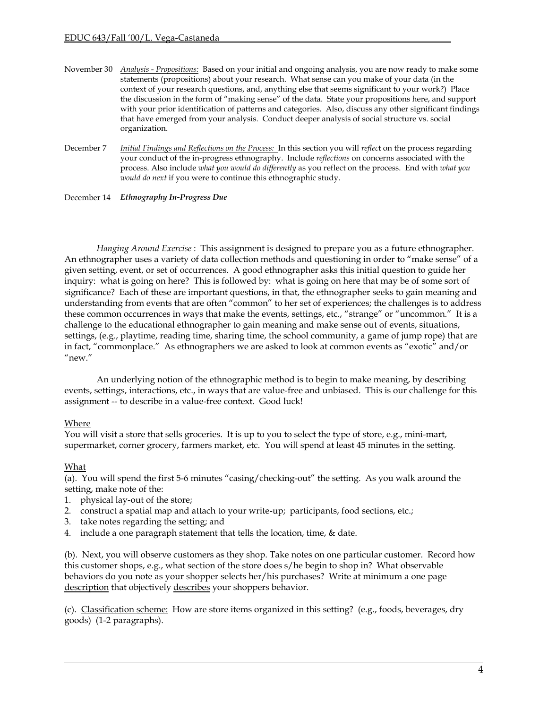- November 30 *Analysis - Propositions:* Based on your initial and ongoing analysis, you are now ready to make some statements (propositions) about your research. What sense can you make of your data (in the context of your research questions, and, anything else that seems significant to your work?) Place the discussion in the form of "making sense" of the data. State your propositions here, and support with your prior identification of patterns and categories. Also, discuss any other significant findings that have emerged from your analysis. Conduct deeper analysis of social structure vs. social organization.
- December 7 *Initial Findings and Reflections on the Process:* In this section you will *reflec*t on the process regarding your conduct of the in-progress ethnography. Include *reflections* on concerns associated with the process. Also include *what you would do differently* as you reflect on the process. End with *what you would do next* if you were to continue this ethnographic study.

December 14 *Ethnography In-Progress Due*

*Hanging Around Exercise* : This assignment is designed to prepare you as a future ethnographer. An ethnographer uses a variety of data collection methods and questioning in order to "make sense" of a given setting, event, or set of occurrences. A good ethnographer asks this initial question to guide her inquiry: what is going on here? This is followed by: what is going on here that may be of some sort of significance? Each of these are important questions, in that, the ethnographer seeks to gain meaning and understanding from events that are often "common" to her set of experiences; the challenges is to address these common occurrences in ways that make the events, settings, etc., "strange" or "uncommon." It is a challenge to the educational ethnographer to gain meaning and make sense out of events, situations, settings, (e.g., playtime, reading time, sharing time, the school community, a game of jump rope) that are in fact, "commonplace." As ethnographers we are asked to look at common events as "exotic" and/or "new."

An underlying notion of the ethnographic method is to begin to make meaning, by describing events, settings, interactions, etc., in ways that are value-free and unbiased. This is our challenge for this assignment -- to describe in a value-free context. Good luck!

# Where

You will visit a store that sells groceries. It is up to you to select the type of store, e.g., mini-mart, supermarket, corner grocery, farmers market, etc. You will spend at least 45 minutes in the setting.

# What

(a). You will spend the first 5-6 minutes "casing/checking-out" the setting. As you walk around the setting, make note of the:

- 1. physical lay-out of the store;
- 2. construct a spatial map and attach to your write-up; participants, food sections, etc.;
- 3. take notes regarding the setting; and
- 4. include a one paragraph statement that tells the location, time, & date.

(b). Next, you will observe customers as they shop. Take notes on one particular customer. Record how this customer shops, e.g., what section of the store does s/he begin to shop in? What observable behaviors do you note as your shopper selects her/his purchases? Write at minimum a one page description that objectively describes your shoppers behavior.

(c). Classification scheme: How are store items organized in this setting? (e.g., foods, beverages, dry goods) (1-2 paragraphs).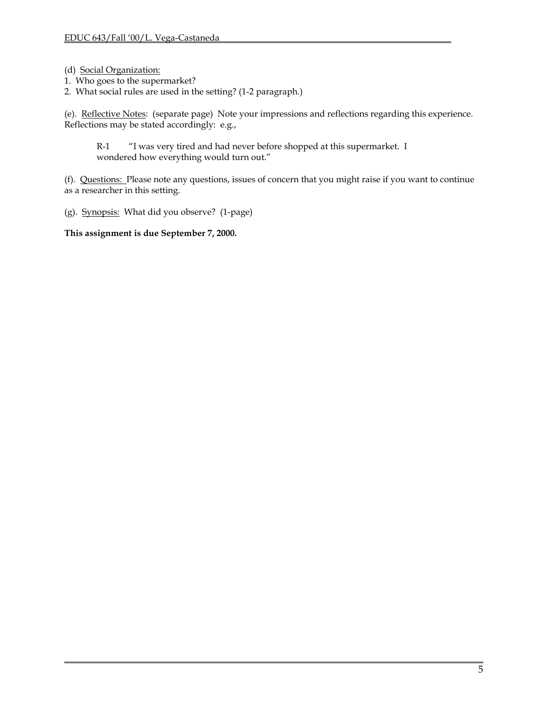- (d) Social Organization:
- 1. Who goes to the supermarket?
- 2. What social rules are used in the setting? (1-2 paragraph.)

(e). Reflective Notes: (separate page) Note your impressions and reflections regarding this experience. Reflections may be stated accordingly: e.g.,

R-1 "I was very tired and had never before shopped at this supermarket. I wondered how everything would turn out."

(f). Questions: Please note any questions, issues of concern that you might raise if you want to continue as a researcher in this setting.

(g). Synopsis: What did you observe? (1-page)

**This assignment is due September 7, 2000.**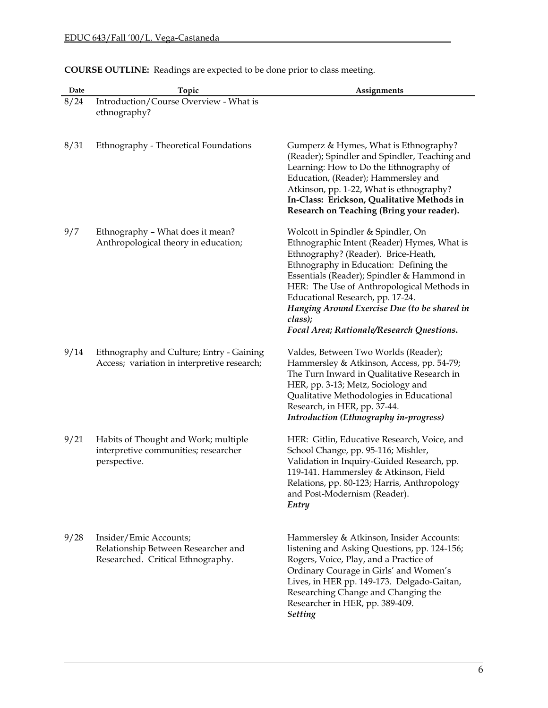| Date | Topic                                                                                              | Assignments                                                                                                                                                                                                                                                                                                                                                                                                |
|------|----------------------------------------------------------------------------------------------------|------------------------------------------------------------------------------------------------------------------------------------------------------------------------------------------------------------------------------------------------------------------------------------------------------------------------------------------------------------------------------------------------------------|
| 8/24 | Introduction/Course Overview - What is<br>ethnography?                                             |                                                                                                                                                                                                                                                                                                                                                                                                            |
| 8/31 | Ethnography - Theoretical Foundations                                                              | Gumperz & Hymes, What is Ethnography?<br>(Reader); Spindler and Spindler, Teaching and<br>Learning: How to Do the Ethnography of<br>Education, (Reader); Hammersley and<br>Atkinson, pp. 1-22, What is ethnography?<br>In-Class: Erickson, Qualitative Methods in<br>Research on Teaching (Bring your reader).                                                                                             |
| 9/7  | Ethnography - What does it mean?<br>Anthropological theory in education;                           | Wolcott in Spindler & Spindler, On<br>Ethnographic Intent (Reader) Hymes, What is<br>Ethnography? (Reader). Brice-Heath,<br>Ethnography in Education: Defining the<br>Essentials (Reader); Spindler & Hammond in<br>HER: The Use of Anthropological Methods in<br>Educational Research, pp. 17-24.<br>Hanging Around Exercise Due (to be shared in<br>class);<br>Focal Area; Rationale/Research Questions. |
| 9/14 | Ethnography and Culture; Entry - Gaining<br>Access; variation in interpretive research;            | Valdes, Between Two Worlds (Reader);<br>Hammersley & Atkinson, Access, pp. 54-79;<br>The Turn Inward in Qualitative Research in<br>HER, pp. 3-13; Metz, Sociology and<br>Qualitative Methodologies in Educational<br>Research, in HER, pp. 37-44.<br>Introduction (Ethnography in-progress)                                                                                                                |
| 9/21 | Habits of Thought and Work; multiple<br>interpretive communities; researcher<br>perspective.       | HER: Gitlin, Educative Research, Voice, and<br>School Change, pp. 95-116; Mishler,<br>Validation in Inquiry-Guided Research, pp.<br>119-141. Hammersley & Atkinson, Field<br>Relations, pp. 80-123; Harris, Anthropology<br>and Post-Modernism (Reader).<br>Entry                                                                                                                                          |
| 9/28 | Insider/Emic Accounts;<br>Relationship Between Researcher and<br>Researched. Critical Ethnography. | Hammersley & Atkinson, Insider Accounts:<br>listening and Asking Questions, pp. 124-156;<br>Rogers, Voice, Play, and a Practice of<br>Ordinary Courage in Girls' and Women's<br>Lives, in HER pp. 149-173. Delgado-Gaitan,<br>Researching Change and Changing the<br>Researcher in HER, pp. 389-409.<br><b>Setting</b>                                                                                     |

# **COURSE OUTLINE:** Readings are expected to be done prior to class meeting.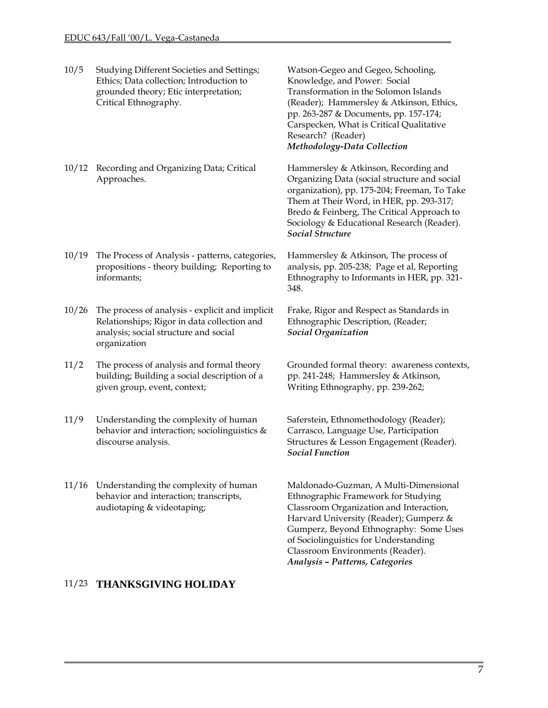- 10/5 Studying Different Societies and Settings; Ethics; Data collection; Introduction to grounded theory; Etic interpretation; Critical Ethnography. Watson-Gegeo and Gegeo, Schooling, Knowledge, and Power: Social Transformation in the Solomon Islands (Reader); Hammersley & Atkinson, Ethics, pp. 263-287 & Documents, pp. 157-174; Carspecken, What is Critical Qualitative Research? (Reader) *Methodology-Data Collection*  10/12 Recording and Organizing Data; Critical Approaches. Hammersley & Atkinson, Recording and Organizing Data (social structure and social Them at Their Word, in HER, pp. 293-317; Bredo & Feinberg, The Critical Approach to Sociology & Educational Research (Reader). *Social Structure*  10/19 The Process of Analysis - patterns, categories, propositions - theory building; Reporting to informants; Hammersley & Atkinson, The process of analysis, pp. 205-238; Page et al, Reporting Ethnography to Informants in HER, pp. 321- 348. 10/26 The process of analysis - explicit and implicit Relationships; Rigor in data collection and analysis; social structure and social organization Frake, Rigor and Respect as Standards in Ethnographic Description, (Reader; *Social Organization*  11/2 The process of analysis and formal theory building; Building a social description of a given group, event, context; pp. 241-248; Hammersley & Atkinson, Writing Ethnography, pp. 239-262; 11/9 Understanding the complexity of human behavior and interaction; sociolinguistics & discourse analysis. Saferstein, Ethnomethodology (Reader); Carrasco, Language Use, Participation Structures & Lesson Engagement (Reader).
- 11/16 Understanding the complexity of human behavior and interaction; transcripts, audiotaping & videotaping;

# 11/23 **THANKSGIVING HOLIDAY**

organization), pp. 175-204; Freeman, To Take

Grounded formal theory: awareness contexts,

*Social Function*

Maldonado-Guzman, A Multi-Dimensional Ethnographic Framework for Studying Classroom Organization and Interaction, Harvard University (Reader); Gumperz & Gumperz, Beyond Ethnography: Some Uses of Sociolinguistics for Understanding Classroom Environments (Reader). *Analysis – Patterns, Categories*